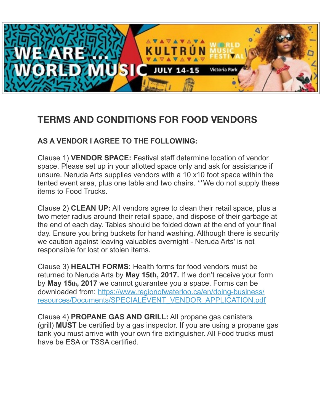

## **TERMS AND CONDITIONS FOR FOOD VENDORS**

## **AS A VENDOR I AGREE TO THE FOLLOWING:**

Clause 1) **VENDOR SPACE:** Festival staff determine location of vendor space. Please set up in your allotted space only and ask for assistance if unsure. Neruda Arts supplies vendors with a 10 x10 foot space within the tented event area, plus one table and two chairs. \*\*We do not supply these items to Food Trucks.

Clause 2) **CLEAN UP:** All vendors agree to clean their retail space, plus a two meter radius around their retail space, and dispose of their garbage at the end of each day. Tables should be folded down at the end of your final day. Ensure you bring buckets for hand washing. Although there is security we caution against leaving valuables overnight - Neruda Arts' is not responsible for lost or stolen items.

Clause 3) **HEALTH FORMS:** Health forms for food vendors must be returned to Neruda Arts by **May 15th, 2017.** If we don't receive your form by **May 15th, 2017** we cannot guarantee you a space. Forms can be downloaded from: https://www.regionofwaterloo.ca/en/doing-business/ [resources/Documents/SPECIALEVENT\\_VENDOR\\_APPLICATION.pdf](https://www.regionofwaterloo.ca/en/doing-business/resources/Documents/SPECIALEVENT_VENDOR_APPLICATION.pdf)

Clause 4) **PROPANE GAS AND GRILL:** All propane gas canisters (grill) **MUST** be certified by a gas inspector. If you are using a propane gas tank you must arrive with your own fire extinguisher. All Food trucks must have be ESA or TSSA certified.